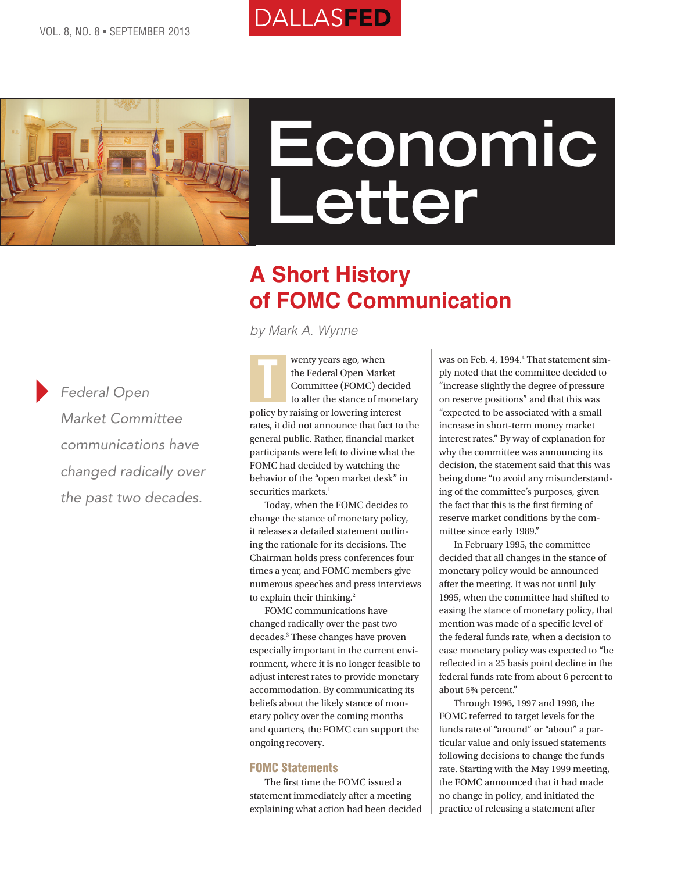



# **Economic Letter**

# **A Short History of FOMC Communication**

*by Mark A. Wynne*

*Federal Open Market Committee communications have changed radically over the past two decades.*

wenty years ago, when the Federal Open Market Committee (FOMC) decided to alter the stance of monetary policy by raising or lowering interest rates, it did not announce that fact to the general public. Rather, financial market participants were left to divine what the FOMC had decided by watching the behavior of the "open market desk" in securities markets.<sup>1</sup> T

Today, when the FOMC decides to change the stance of monetary policy, it releases a detailed statement outlining the rationale for its decisions. The Chairman holds press conferences four times a year, and FOMC members give numerous speeches and press interviews to explain their thinking.<sup>2</sup>

FOMC communications have changed radically over the past two decades.3 These changes have proven especially important in the current environment, where it is no longer feasible to adjust interest rates to provide monetary accommodation. By communicating its beliefs about the likely stance of monetary policy over the coming months and quarters, the FOMC can support the ongoing recovery.

#### FOMC Statements

The first time the FOMC issued a statement immediately after a meeting explaining what action had been decided

was on Feb. 4, 1994.<sup>4</sup> That statement simply noted that the committee decided to "increase slightly the degree of pressure on reserve positions" and that this was "expected to be associated with a small increase in short-term money market interest rates." By way of explanation for why the committee was announcing its decision, the statement said that this was being done "to avoid any misunderstanding of the committee's purposes, given the fact that this is the first firming of reserve market conditions by the committee since early 1989."

In February 1995, the committee decided that all changes in the stance of monetary policy would be announced after the meeting. It was not until July 1995, when the committee had shifted to easing the stance of monetary policy, that mention was made of a specific level of the federal funds rate, when a decision to ease monetary policy was expected to "be reflected in a 25 basis point decline in the federal funds rate from about 6 percent to about 5¾ percent."

Through 1996, 1997 and 1998, the FOMC referred to target levels for the funds rate of "around" or "about" a particular value and only issued statements following decisions to change the funds rate. Starting with the May 1999 meeting, the FOMC announced that it had made no change in policy, and initiated the practice of releasing a statement after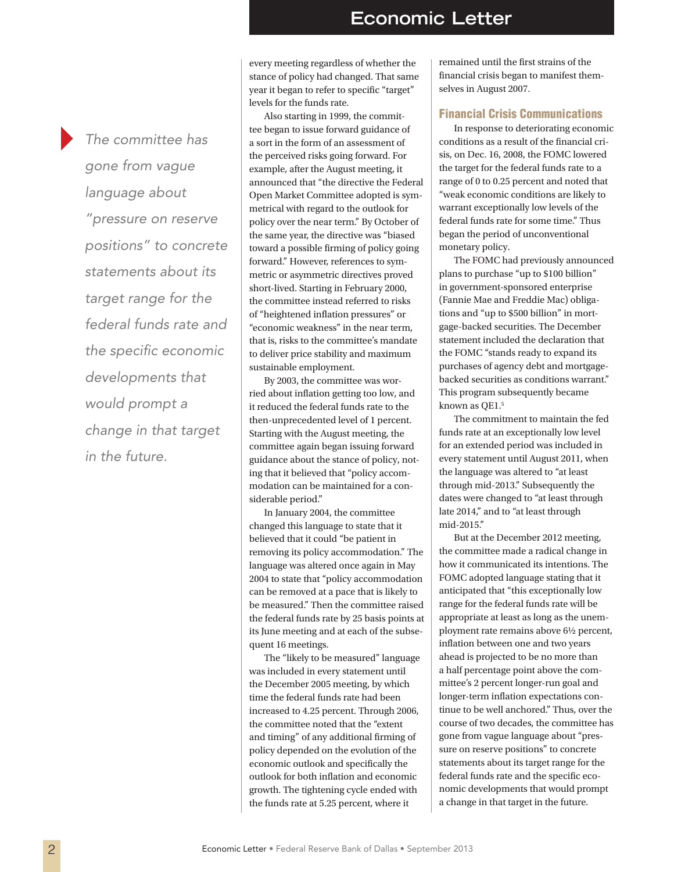*The committee has gone from vague language about "pressure on reserve positions" to concrete statements about its target range for the federal funds rate and the specific economic developments that would prompt a change in that target in the future.*

every meeting regardless of whether the stance of policy had changed. That same year it began to refer to specific "target" levels for the funds rate.

Also starting in 1999, the committee began to issue forward guidance of a sort in the form of an assessment of the perceived risks going forward. For example, after the August meeting, it announced that "the directive the Federal Open Market Committee adopted is symmetrical with regard to the outlook for policy over the near term." By October of the same year, the directive was "biased toward a possible firming of policy going forward." However, references to symmetric or asymmetric directives proved short-lived. Starting in February 2000, the committee instead referred to risks of "heightened inflation pressures" or "economic weakness" in the near term, that is, risks to the committee's mandate to deliver price stability and maximum sustainable employment.

By 2003, the committee was worried about inflation getting too low, and it reduced the federal funds rate to the then-unprecedented level of 1 percent. Starting with the August meeting, the committee again began issuing forward guidance about the stance of policy, noting that it believed that "policy accommodation can be maintained for a considerable period."

In January 2004, the committee changed this language to state that it believed that it could "be patient in removing its policy accommodation." The language was altered once again in May 2004 to state that "policy accommodation can be removed at a pace that is likely to be measured." Then the committee raised the federal funds rate by 25 basis points at its June meeting and at each of the subsequent 16 meetings.

The "likely to be measured" language was included in every statement until the December 2005 meeting, by which time the federal funds rate had been increased to 4.25 percent. Through 2006, the committee noted that the "extent and timing" of any additional firming of policy depended on the evolution of the economic outlook and specifically the outlook for both inflation and economic growth. The tightening cycle ended with the funds rate at 5.25 percent, where it

remained until the first strains of the financial crisis began to manifest themselves in August 2007.

#### Financial Crisis Communications

In response to deteriorating economic conditions as a result of the financial crisis, on Dec. 16, 2008, the FOMC lowered the target for the federal funds rate to a range of 0 to 0.25 percent and noted that "weak economic conditions are likely to warrant exceptionally low levels of the federal funds rate for some time." Thus began the period of unconventional monetary policy.

The FOMC had previously announced plans to purchase "up to \$100 billion" in government-sponsored enterprise (Fannie Mae and Freddie Mac) obligations and "up to \$500 billion" in mortgage-backed securities. The December statement included the declaration that the FOMC "stands ready to expand its purchases of agency debt and mortgagebacked securities as conditions warrant." This program subsequently became known as OE1.<sup>5</sup>

The commitment to maintain the fed funds rate at an exceptionally low level for an extended period was included in every statement until August 2011, when the language was altered to "at least through mid-2013." Subsequently the dates were changed to "at least through late 2014," and to "at least through mid-2015."

But at the December 2012 meeting, the committee made a radical change in how it communicated its intentions. The FOMC adopted language stating that it anticipated that "this exceptionally low range for the federal funds rate will be appropriate at least as long as the unemployment rate remains above 6½ percent, inflation between one and two years ahead is projected to be no more than a half percentage point above the committee's 2 percent longer-run goal and longer-term inflation expectations continue to be well anchored." Thus, over the course of two decades, the committee has gone from vague language about "pressure on reserve positions" to concrete statements about its target range for the federal funds rate and the specific economic developments that would prompt a change in that target in the future.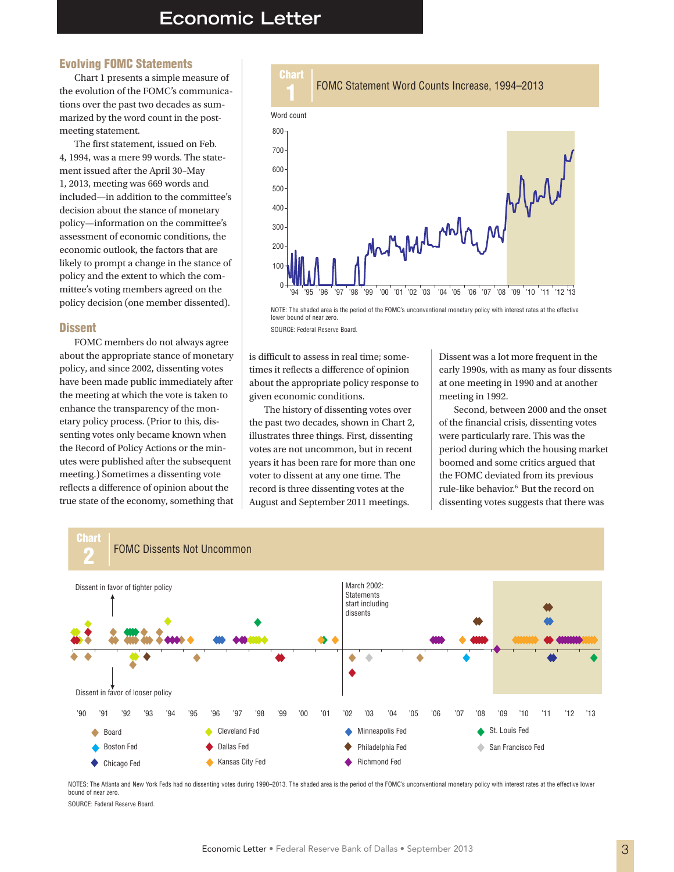### **Economic Letter**

#### Evolving FOMC Statements

Chart 1 presents a simple measure of the evolution of the FOMC's communications over the past two decades as summarized by the word count in the postmeeting statement.

The first statement, issued on Feb. 4, 1994, was a mere 99 words. The statement issued after the April 30–May 1, 2013, meeting was 669 words and included—in addition to the committee's decision about the stance of monetary policy—information on the committee's assessment of economic conditions, the economic outlook, the factors that are likely to prompt a change in the stance of policy and the extent to which the committee's voting members agreed on the policy decision (one member dissented).

#### **Dissent**

FOMC members do not always agree about the appropriate stance of monetary policy, and since 2002, dissenting votes have been made public immediately after the meeting at which the vote is taken to enhance the transparency of the monetary policy process. (Prior to this, dissenting votes only became known when the Record of Policy Actions or the minutes were published after the subsequent meeting.) Sometimes a dissenting vote reflects a difference of opinion about the true state of the economy, something that



NOTE: The shaded area is the period of the FOMC's unconventional monetary policy with interest rates at the effective lower bound of near zero.

SOURCE: Federal Reserve Board.

is difficult to assess in real time; sometimes it reflects a difference of opinion about the appropriate policy response to given economic conditions.

The history of dissenting votes over the past two decades, shown in Chart 2, illustrates three things. First, dissenting votes are not uncommon, but in recent years it has been rare for more than one voter to dissent at any one time. The record is three dissenting votes at the August and September 2011 meetings.

Dissent was a lot more frequent in the early 1990s, with as many as four dissents at one meeting in 1990 and at another meeting in 1992.

Second, between 2000 and the onset of the financial crisis, dissenting votes were particularly rare. This was the period during which the housing market boomed and some critics argued that the FOMC deviated from its previous rule-like behavior.6 But the record on dissenting votes suggests that there was



NOTES: The Atlanta and New York Feds had no dissenting votes during 1990–2013. The shaded area is the period of the FOMC's unconventional monetary policy with interest rates at the effective lower bound of near zero.

SOURCE: Federal Reserve Board.